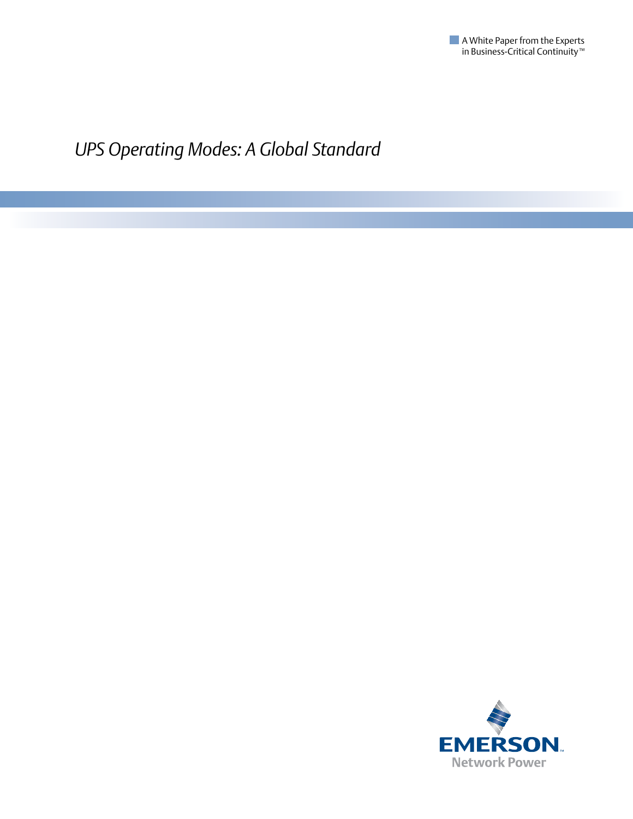

*UPS Operating Modes: A Global Standard*

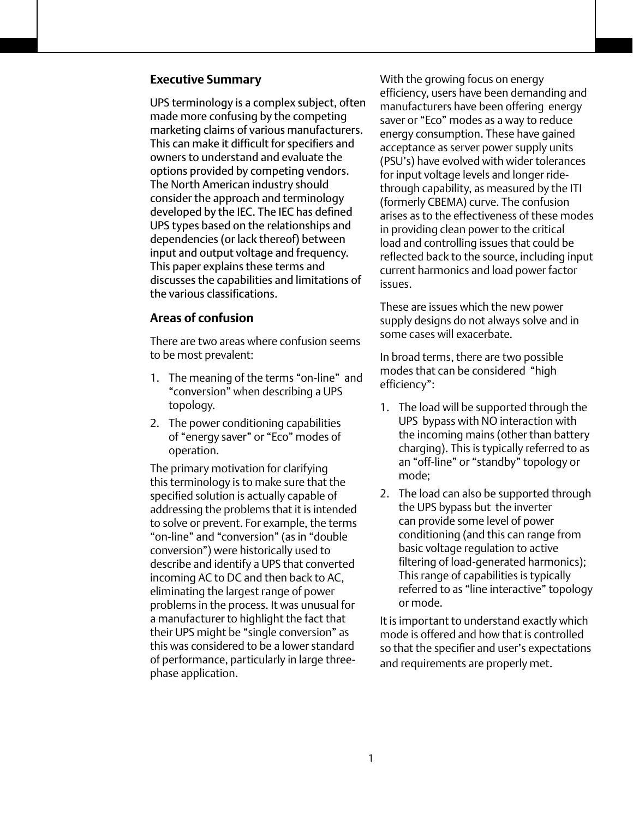## **Executive Summary**

UPS terminology is a complex subject, often made more confusing by the competing marketing claims of various manufacturers. This can make it difficult for specifiers and owners to understand and evaluate the options provided by competing vendors. The North American industry should consider the approach and terminology developed by the IEC. The IEC has defined UPS types based on the relationships and dependencies (or lack thereof) between input and output voltage and frequency. This paper explains these terms and discusses the capabilities and limitations of the various classifications.

## **Areas of confusion**

There are two areas where confusion seems to be most prevalent:

- 1. The meaning of the terms "on-line" and "conversion" when describing a UPS topology.
- 2. The power conditioning capabilities of "energy saver" or "Eco" modes of operation.

The primary motivation for clarifying this terminology is to make sure that the specified solution is actually capable of addressing the problems that it is intended to solve or prevent. For example, the terms "on-line" and "conversion" (as in "double conversion") were historically used to describe and identify a UPS that converted incoming AC to DC and then back to AC, eliminating the largest range of power problems in the process. It was unusual for a manufacturer to highlight the fact that their UPS might be "single conversion" as this was considered to be a lower standard of performance, particularly in large threephase application.

With the growing focus on energy efficiency, users have been demanding and manufacturers have been offering energy saver or "Eco" modes as a way to reduce energy consumption. These have gained acceptance as server power supply units (PSU's) have evolved with wider tolerances for input voltage levels and longer ridethrough capability, as measured by the ITI (formerly CBEMA) curve. The confusion arises as to the effectiveness of these modes in providing clean power to the critical load and controlling issues that could be reflected back to the source, including input current harmonics and load power factor issues.

These are issues which the new power supply designs do not always solve and in some cases will exacerbate.

In broad terms, there are two possible modes that can be considered "high efficiency":

- 1. The load will be supported through the UPS bypass with NO interaction with the incoming mains (other than battery charging). This is typically referred to as an "off-line" or "standby" topology or mode;
- 2. The load can also be supported through the UPS bypass but the inverter can provide some level of power conditioning (and this can range from basic voltage regulation to active filtering of load-generated harmonics); This range of capabilities is typically referred to as "line interactive" topology or mode.

It is important to understand exactly which mode is offered and how that is controlled so that the specifier and user's expectations and requirements are properly met.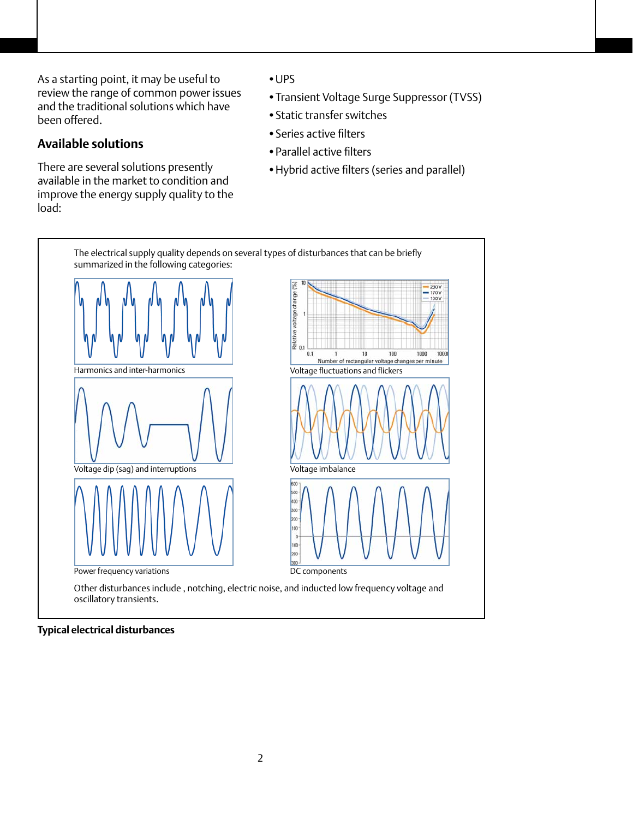As a starting point, it may be useful to review the range of common power issues and the traditional solutions which have been offered.

# **Available solutions**

There are several solutions presently available in the market to condition and improve the energy supply quality to the load:

- •UPS
- •Transient Voltage Surge Suppressor (TVSS)
- •Static transfer switches
- •Series active filters
- •Parallel active filters
- •Hybrid active filters (series and parallel)



#### **Typical electrical disturbances**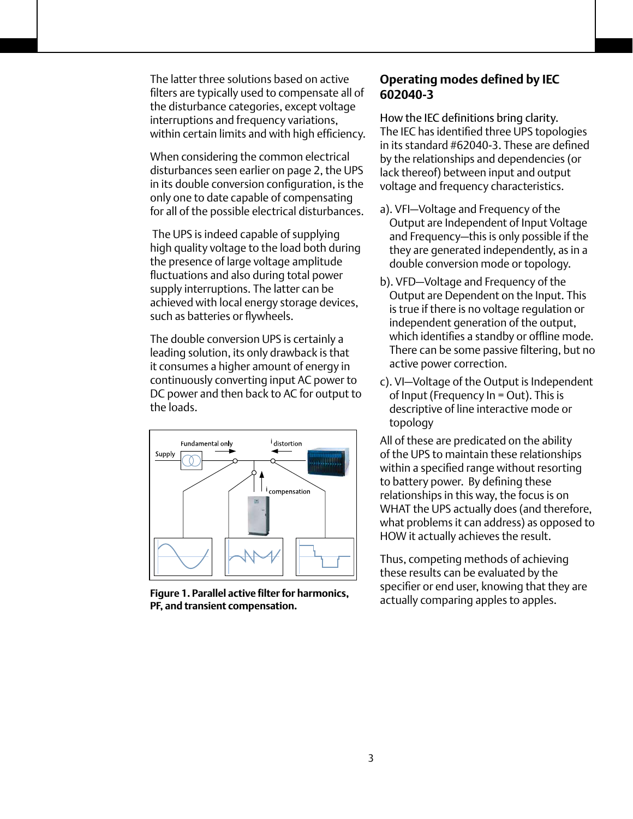The latter three solutions based on active filters are typically used to compensate all of the disturbance categories, except voltage interruptions and frequency variations, within certain limits and with high efficiency.

When considering the common electrical disturbances seen earlier on page 2, the UPS in its double conversion configuration, is the only one to date capable of compensating for all of the possible electrical disturbances.

 The UPS is indeed capable of supplying high quality voltage to the load both during the presence of large voltage amplitude fluctuations and also during total power supply interruptions. The latter can be achieved with local energy storage devices, such as batteries or flywheels.

The double conversion UPS is certainly a leading solution, its only drawback is that it consumes a higher amount of energy in continuously converting input AC power to DC power and then back to AC for output to the loads.



**Figure 1. Parallel active filter for harmonics, PF, and transient compensation.**

# **Operating modes defined by IEC 602040-3**

How the IEC definitions bring clarity. The IEC has identified three UPS topologies in its standard #62040-3. These are defined by the relationships and dependencies (or lack thereof) between input and output voltage and frequency characteristics.

- a). VFI—Voltage and Frequency of the Output are Independent of Input Voltage and Frequency—this is only possible if the they are generated independently, as in a double conversion mode or topology.
- b). VFD—Voltage and Frequency of the Output are Dependent on the Input. This is true if there is no voltage regulation or independent generation of the output, which identifies a standby or offline mode. There can be some passive filtering, but no active power correction.
- c). VI—Voltage of the Output is Independent of Input (Frequency In = Out). This is descriptive of line interactive mode or topology

All of these are predicated on the ability of the UPS to maintain these relationships within a specified range without resorting to battery power. By defining these relationships in this way, the focus is on WHAT the UPS actually does (and therefore, what problems it can address) as opposed to HOW it actually achieves the result.

Thus, competing methods of achieving these results can be evaluated by the specifier or end user, knowing that they are actually comparing apples to apples.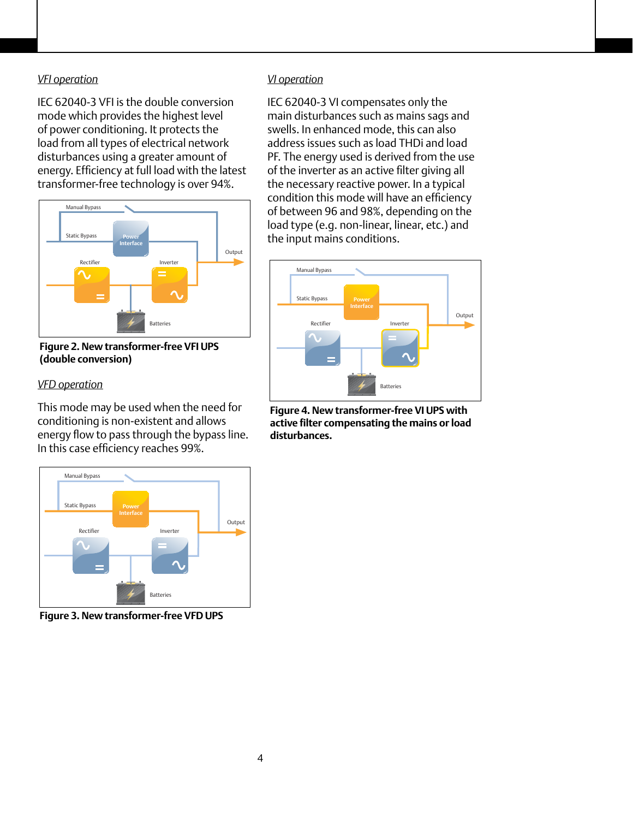## *VFI operation*

IEC 62040-3 VFI is the double conversion mode which provides the highest level of power conditioning. It protects the load from all types of electrical network disturbances using a greater amount of energy. Efficiency at full load with the latest transformer-free technology is over 94%.



**Figure 2. New transformer-free VFI UPS (double conversion)**

#### *VFD operation*

This mode may be used when the need for conditioning is non-existent and allows energy flow to pass through the bypass line. In this case efficiency reaches 99%.



**Figure 3. New transformer-free VFD UPS**

## *VI operation*

IEC 62040-3 VI compensates only the main disturbances such as mains sags and swells. In enhanced mode, this can also address issues such as load THDi and load PF. The energy used is derived from the use of the inverter as an active filter giving all the necessary reactive power. In a typical condition this mode will have an efficiency of between 96 and 98%, depending on the load type (e.g. non-linear, linear, etc.) and the input mains conditions.



**Figure 4. New transformer-free VI UPS with active filter compensating the mains or load disturbances.**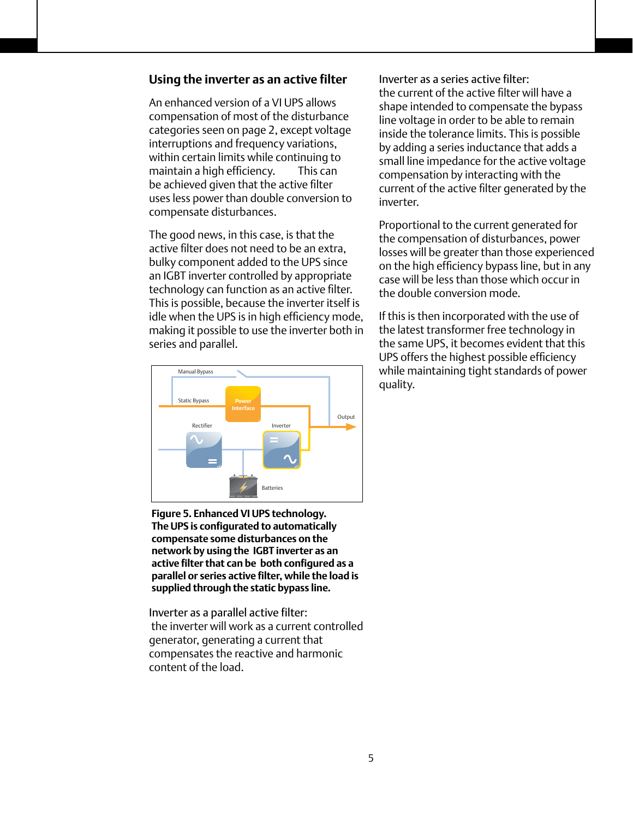## **Using the inverter as an active filter**

An enhanced version of a VI UPS allows compensation of most of the disturbance categories seen on page 2, except voltage interruptions and frequency variations, within certain limits while continuing to maintain a high efficiency. This can be achieved given that the active filter uses less power than double conversion to compensate disturbances.

The good news, in this case, is that the active filter does not need to be an extra, bulky component added to the UPS since an IGBT inverter controlled by appropriate technology can function as an active filter. This is possible, because the inverter itself is idle when the UPS is in high efficiency mode, making it possible to use the inverter both in series and parallel.



**Figure 5. Enhanced VI UPS technology. The UPS is configurated to automatically compensate some disturbances on the network by using the IGBT inverter as an active filter that can be both configured as a parallel or series active filter, while the load is supplied through the static bypass line.** 

Inverter as a parallel active filter: the inverter will work as a current controlled generator, generating a current that compensates the reactive and harmonic content of the load.

Inverter as a series active filter: the current of the active filter will have a shape intended to compensate the bypass line voltage in order to be able to remain inside the tolerance limits. This is possible by adding a series inductance that adds a small line impedance for the active voltage compensation by interacting with the current of the active filter generated by the inverter.

Proportional to the current generated for the compensation of disturbances, power losses will be greater than those experienced on the high efficiency bypass line, but in any case will be less than those which occur in the double conversion mode.

If this is then incorporated with the use of the latest transformer free technology in the same UPS, it becomes evident that this UPS offers the highest possible efficiency while maintaining tight standards of power quality.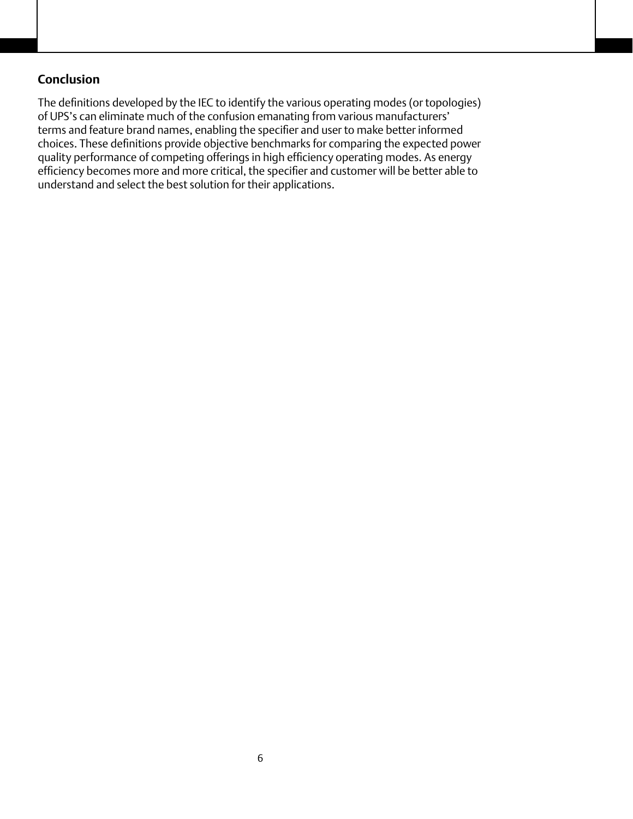## **Conclusion**

The definitions developed by the IEC to identify the various operating modes (or topologies) of UPS's can eliminate much of the confusion emanating from various manufacturers' terms and feature brand names, enabling the specifier and user to make better informed choices. These definitions provide objective benchmarks for comparing the expected power quality performance of competing offerings in high efficiency operating modes. As energy efficiency becomes more and more critical, the specifier and customer will be better able to understand and select the best solution for their applications.